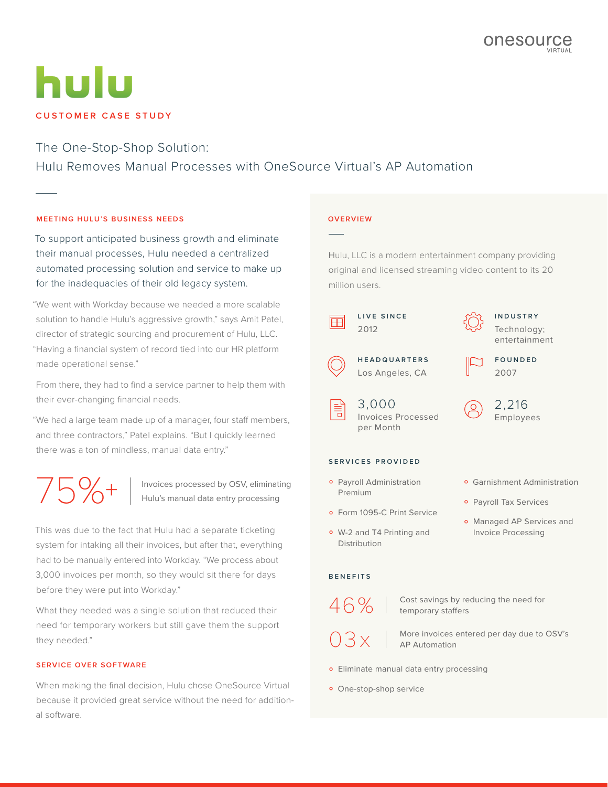# hulu **CUSTOMER CASE STUDY**

# The One-Stop-Shop Solution:

Hulu Removes Manual Processes with OneSource Virtual's AP Automation

# **MEETING HULU'S BUSINESS NEEDS**

To support anticipated business growth and eliminate their manual processes, Hulu needed a centralized automated processing solution and service to make up for the inadequacies of their old legacy system.

"We went with Workday because we needed a more scalable solution to handle Hulu's aggressive growth," says Amit Patel, director of strategic sourcing and procurement of Hulu, LLC. "Having a financial system of record tied into our HR platform made operational sense."

From there, they had to find a service partner to help them with their ever-changing financial needs.

"We had a large team made up of a manager, four staff members, and three contractors," Patel explains. "But I quickly learned there was a ton of mindless, manual data entry."

TO  $\leftarrow$  Invoices processed by OSV, eliminating<br>Hulu's manual data entry processing

This was due to the fact that Hulu had a separate ticketing system for intaking all their invoices, but after that, everything had to be manually entered into Workday. "We process about 3,000 invoices per month, so they would sit there for days before they were put into Workday."

What they needed was a single solution that reduced their need for temporary workers but still gave them the support they needed."

# **SERVICE OVER SOFTWARE**

When making the final decision, Hulu chose OneSource Virtual because it provided great service without the need for additional software.

### **OVERVIEW**

Hulu, LLC is a modern entertainment company providing original and licensed streaming video content to its 20 million users.



**I N D U S T R Y**  Technology; entertainment



**F O U N D E D**  2007

2,216 Employees

#### **SERVICES PROVIDED**

3,000

per Month

Invoices Processed

Los Angeles, CA

- **•** Payroll Administration Premium
- **Form 1095-C Print Service**
- o W-2 and T4 Printing and Distribution

#### **BENEFITS**

46%

 $03x$ 

Cost savings by reducing the need for temporary staffers

More invoices entered per day due to OSV's AP Automation

- **•** Eliminate manual data entry processing
- **·** One-stop-shop service
- **Garnishment Administration**
- **Payroll Tax Services**
- o Managed AP Services and Invoice Processing